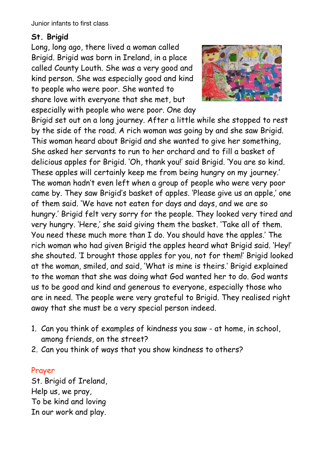## **St. Brigid**

Long, long ago, there lived a woman called Brigid. Brigid was born in Ireland, in a place called County Louth. She was a very good and kind person. She was especially good and kind to people who were poor. She wanted to share love with everyone that she met, but especially with people who were poor. One day



Brigid set out on a long journey. After a little while she stopped to rest by the side of the road. A rich woman was going by and she saw Brigid. This woman heard about Brigid and she wanted to give her something, She asked her servants to run to her orchard and to fill a basket of delicious apples for Brigid. 'Oh, thank you!' said Brigid. 'You are so kind. These apples will certainly keep me from being hungry on my journey.' The woman hadn't even left when a group of people who were very poor came by. They saw Brigid's basket of apples. 'Please give us an apple,' one of them said. 'We have not eaten for days and days, and we are so hungry.' Brigid felt very sorry for the people. They looked very tired and very hungry. 'Here,' she said giving them the basket. 'Take all of them. You need these much more than I do. You should have the apples.' The rich woman who had given Brigid the apples heard what Brigid said. 'Hey!' she shouted. 'I brought those apples for you, not for them!' Brigid looked at the woman, smiled, and said, 'What is mine is theirs.' Brigid explained to the woman that she was doing what God wanted her to do. God wants us to be good and kind and generous to everyone, especially those who are in need. The people were very grateful to Brigid. They realised right away that she must be a very special person indeed.

- 1. Can you think of examples of kindness you saw at home, in school, among friends, on the street?
- 2. Can you think of ways that you show kindness to others?

## Prayer

St. Brigid of Ireland, Help us, we pray, To be kind and loving In our work and play.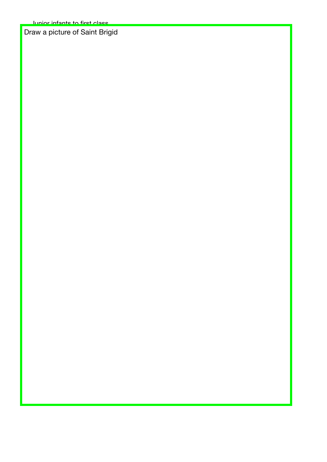Draw a picture of Saint Brigid